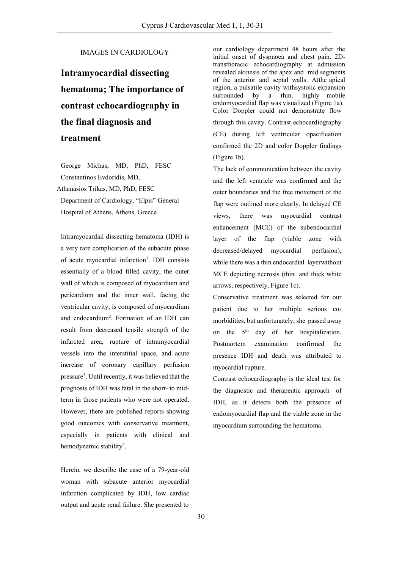## IMAGES IN CARDIOLOGY

## **Intramyocardial dissecting hematoma; The importance of contrast echocardiography in the final diagnosis and treatment**

George Michas, MD, PhD, FESC Constantinos Evdoridis, MD, Athanasios Trikas, MD, PhD, FESC Department of Cardiology, "Elpis" General Hospital of Athens, Athens, Greece

Intramyocardial dissecting hematoma (IDH) is a very rare complication of the subacute phase of acute myocardial infarction<sup>1</sup>. IDH consists essentially of a blood filled cavity, the outer wall of which is composed of myocardium and pericardium and the inner wall, facing the ventricular cavity, is composed of myocardium and endocardium<sup>2</sup> . Formation of an IDH can result from decreased tensile strength of the infarcted area, rupture of intramyocardial vessels into the interstitial space, and acute increase of coronary capillary perfusion pressure<sup>3</sup> . Until recently, it was believed that the prognosis of IDH was fatal in the short- to midterm in those patients who were not operated. However, there are published reports showing good outcomes with conservative treatment, especially in patients with clinical and hemodynamic stability<sup>2</sup>.

Herein, we describe the case of a 79-year-old woman with subacute anterior myocardial infarction complicated by IDH, low cardiac output and acute renal failure. She presented to

our cardiology department 48 hours after the initial onset of dyspnoea and chest pain. 2Dtransthoracic echocardiography at admission revealed akinesis of the apex and mid segments of the anterior and septal walls. Atthe apical region, a pulsatile cavity with systolic expansion<br>surrounded by a thin, highly mobile highly mobile endomyocardial flap was visualized (Figure 1a). Color Doppler could not demonstrate flow through this cavity. Contrast echocardiography (CE) during left ventricular opacification confirmed the 2D and color Doppler findings (Figure 1b).

The lack of communication between the cavity and the left ventricle was confirmed and the outer boundaries and the free movement of the flap were outlined more clearly. In delayed CE views, there was myocardial contrast enhancement (MCE) of the subendocardial layer of the flap (viable zone with decreased/delayed myocardial perfusion), while there was a thin endocardial layerwithout MCE depicting necrosis (thin and thick white arrows, respectively, Figure 1c).

Conservative treatment was selected for our patient due to her multiple serious comorbidities, but unfortunately, she passed away on the 5<sup>th</sup> day of her hospitalization. Postmortem examination confirmed the presence IDH and death was attributed to myocardial rupture.

Contrast echocardiography is the ideal test for the diagnostic and therapeutic approach of IDH, as it detects both the presence of endomyocardial flap and the viable zone in the myocardium surrounding the hematoma.